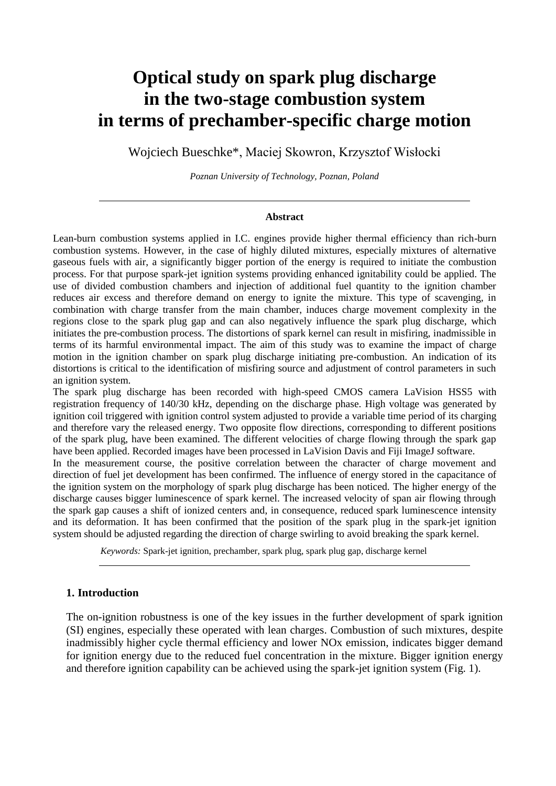# **Optical study on spark plug discharge in the two-stage combustion system in terms of prechamber-specific charge motion**

Wojciech Bueschke\*, Maciej Skowron, Krzysztof Wisłocki

*Poznan University of Technology, Poznan, Poland*

#### **Abstract**

Lean-burn combustion systems applied in I.C. engines provide higher thermal efficiency than rich-burn combustion systems. However, in the case of highly diluted mixtures, especially mixtures of alternative gaseous fuels with air, a significantly bigger portion of the energy is required to initiate the combustion process. For that purpose spark-jet ignition systems providing enhanced ignitability could be applied. The use of divided combustion chambers and injection of additional fuel quantity to the ignition chamber reduces air excess and therefore demand on energy to ignite the mixture. This type of scavenging, in combination with charge transfer from the main chamber, induces charge movement complexity in the regions close to the spark plug gap and can also negatively influence the spark plug discharge, which initiates the pre-combustion process. The distortions of spark kernel can result in misfiring, inadmissible in terms of its harmful environmental impact. The aim of this study was to examine the impact of charge motion in the ignition chamber on spark plug discharge initiating pre-combustion. An indication of its distortions is critical to the identification of misfiring source and adjustment of control parameters in such an ignition system.

The spark plug discharge has been recorded with high-speed CMOS camera LaVision HSS5 with registration frequency of 140/30 kHz, depending on the discharge phase. High voltage was generated by ignition coil triggered with ignition control system adjusted to provide a variable time period of its charging and therefore vary the released energy. Two opposite flow directions, corresponding to different positions of the spark plug, have been examined. The different velocities of charge flowing through the spark gap have been applied. Recorded images have been processed in LaVision Davis and Fiji ImageJ software.

In the measurement course, the positive correlation between the character of charge movement and direction of fuel jet development has been confirmed. The influence of energy stored in the capacitance of the ignition system on the morphology of spark plug discharge has been noticed. The higher energy of the discharge causes bigger luminescence of spark kernel. The increased velocity of span air flowing through the spark gap causes a shift of ionized centers and, in consequence, reduced spark luminescence intensity and its deformation. It has been confirmed that the position of the spark plug in the spark-jet ignition system should be adjusted regarding the direction of charge swirling to avoid breaking the spark kernel.

*Keywords:* Spark-jet ignition, prechamber, spark plug, spark plug gap, discharge kernel

### **1. Introduction**

The on-ignition robustness is one of the key issues in the further development of spark ignition (SI) engines, especially these operated with lean charges. Combustion of such mixtures, despite inadmissibly higher cycle thermal efficiency and lower NOx emission, indicates bigger demand for ignition energy due to the reduced fuel concentration in the mixture. Bigger ignition energy and therefore ignition capability can be achieved using the spark-jet ignition system (Fig. 1).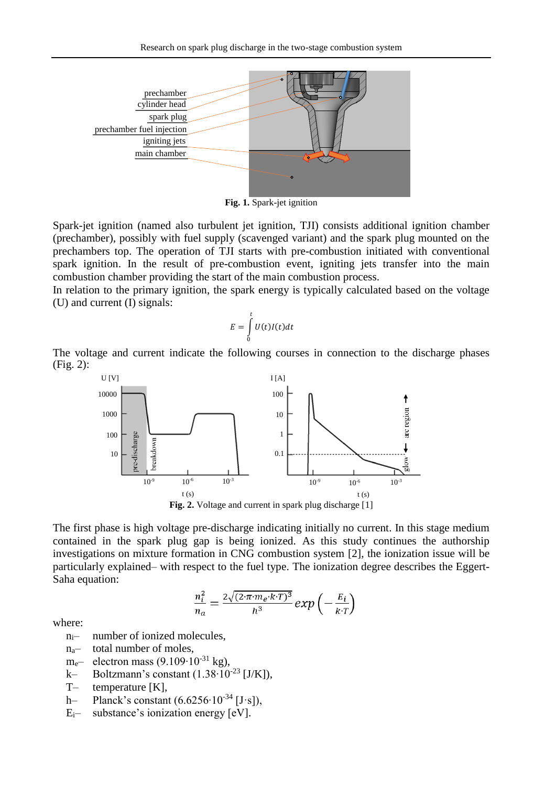

**Fig. 1.** Spark-jet ignition

Spark-jet ignition (named also turbulent jet ignition, TJI) consists additional ignition chamber (prechamber), possibly with fuel supply (scavenged variant) and the spark plug mounted on the prechambers top. The operation of TJI starts with pre-combustion initiated with conventional spark ignition. In the result of pre-combustion event, igniting jets transfer into the main combustion chamber providing the start of the main combustion process.

In relation to the primary ignition, the spark energy is typically calculated based on the voltage (U) and current (I) signals:

$$
E = \int_{0}^{t} U(t)I(t)dt
$$

The voltage and current indicate the following courses in connection to the discharge phases (Fig. 2):



The first phase is high voltage pre-discharge indicating initially no current. In this stage medium contained in the spark plug gap is being ionized. As this study continues the authorship investigations on mixture formation in CNG combustion system [2], the ionization issue will be particularly explained– with respect to the fuel type. The ionization degree describes the Eggert-Saha equation:

$$
\frac{n_i^2}{n_a} = \frac{2\sqrt{(2\cdot\pi\cdot m_e \cdot k\cdot T)^3}}{h^3} \exp\left(-\frac{E_i}{k\cdot T}\right)
$$

where:

- $n_{i}$  number of ionized molecules,
- na– total number of moles,
- m<sub>e</sub>— electron mass  $(9.109 \cdot 10^{-31}$  kg),
- k– Boltzmann's constant  $(1.38 \cdot 10^{-23}$  [J/K]),
- T– temperature [K],
- h– Planck's constant (6.6256∙10-34 [J·s]),
- $E_i$  substance's ionization energy  $[eV]$ .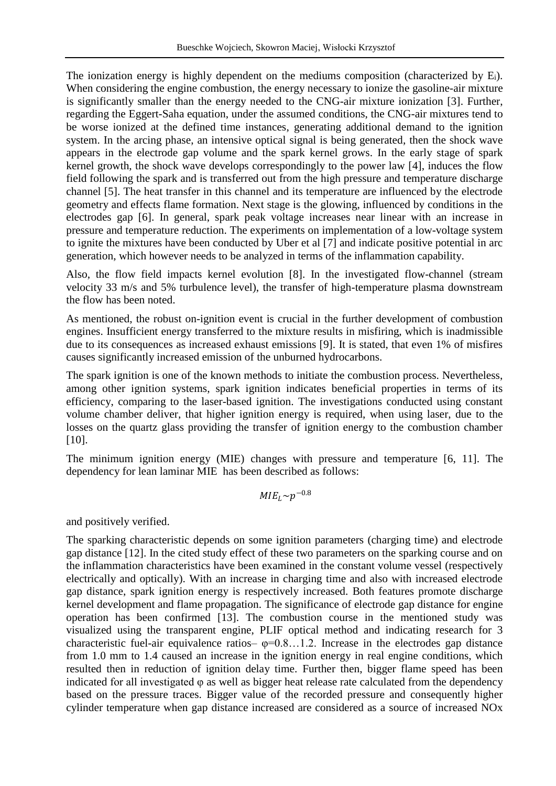The ionization energy is highly dependent on the mediums composition (characterized by Ei). When considering the engine combustion, the energy necessary to ionize the gasoline-air mixture is significantly smaller than the energy needed to the CNG-air mixture ionization [3]. Further, regarding the Eggert-Saha equation, under the assumed conditions, the CNG-air mixtures tend to be worse ionized at the defined time instances, generating additional demand to the ignition system. In the arcing phase, an intensive optical signal is being generated, then the shock wave appears in the electrode gap volume and the spark kernel grows. In the early stage of spark kernel growth, the shock wave develops correspondingly to the power law [4], induces the flow field following the spark and is transferred out from the high pressure and temperature discharge channel [5]. The heat transfer in this channel and its temperature are influenced by the electrode geometry and effects flame formation. Next stage is the glowing, influenced by conditions in the electrodes gap [6]. In general, spark peak voltage increases near linear with an increase in pressure and temperature reduction. The experiments on implementation of a low-voltage system to ignite the mixtures have been conducted by Uber et al [7] and indicate positive potential in arc generation, which however needs to be analyzed in terms of the inflammation capability.

Also, the flow field impacts kernel evolution [8]. In the investigated flow-channel (stream velocity 33 m/s and 5% turbulence level), the transfer of high-temperature plasma downstream the flow has been noted.

As mentioned, the robust on-ignition event is crucial in the further development of combustion engines. Insufficient energy transferred to the mixture results in misfiring, which is inadmissible due to its consequences as increased exhaust emissions [9]. It is stated, that even 1% of misfires causes significantly increased emission of the unburned hydrocarbons.

The spark ignition is one of the known methods to initiate the combustion process. Nevertheless, among other ignition systems, spark ignition indicates beneficial properties in terms of its efficiency, comparing to the laser-based ignition. The investigations conducted using constant volume chamber deliver, that higher ignition energy is required, when using laser, due to the losses on the quartz glass providing the transfer of ignition energy to the combustion chamber [10].

The minimum ignition energy (MIE) changes with pressure and temperature [6, 11]. The dependency for lean laminar MIE has been described as follows:

$$
MIE_L \sim p^{-0.8}
$$

and positively verified.

The sparking characteristic depends on some ignition parameters (charging time) and electrode gap distance [12]. In the cited study effect of these two parameters on the sparking course and on the inflammation characteristics have been examined in the constant volume vessel (respectively electrically and optically). With an increase in charging time and also with increased electrode gap distance, spark ignition energy is respectively increased. Both features promote discharge kernel development and flame propagation. The significance of electrode gap distance for engine operation has been confirmed [13]. The combustion course in the mentioned study was visualized using the transparent engine, PLIF optical method and indicating research for 3 characteristic fuel-air equivalence ratios- $\varphi$ =0.8...1.2. Increase in the electrodes gap distance from 1.0 mm to 1.4 caused an increase in the ignition energy in real engine conditions, which resulted then in reduction of ignition delay time. Further then, bigger flame speed has been indicated for all investigated  $\varphi$  as well as bigger heat release rate calculated from the dependency based on the pressure traces. Bigger value of the recorded pressure and consequently higher cylinder temperature when gap distance increased are considered as a source of increased NOx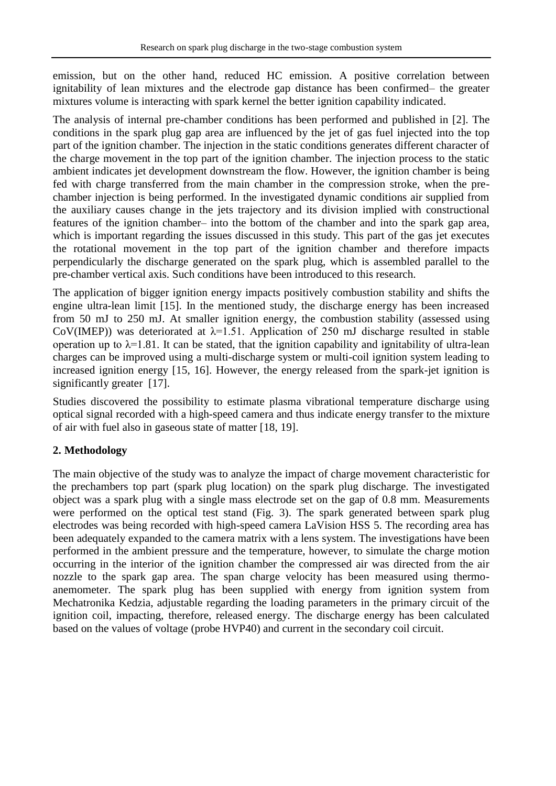emission, but on the other hand, reduced HC emission. A positive correlation between ignitability of lean mixtures and the electrode gap distance has been confirmed– the greater mixtures volume is interacting with spark kernel the better ignition capability indicated.

The analysis of internal pre-chamber conditions has been performed and published in [2]. The conditions in the spark plug gap area are influenced by the jet of gas fuel injected into the top part of the ignition chamber. The injection in the static conditions generates different character of the charge movement in the top part of the ignition chamber. The injection process to the static ambient indicates jet development downstream the flow. However, the ignition chamber is being fed with charge transferred from the main chamber in the compression stroke, when the prechamber injection is being performed. In the investigated dynamic conditions air supplied from the auxiliary causes change in the jets trajectory and its division implied with constructional features of the ignition chamber– into the bottom of the chamber and into the spark gap area, which is important regarding the issues discussed in this study. This part of the gas jet executes the rotational movement in the top part of the ignition chamber and therefore impacts perpendicularly the discharge generated on the spark plug, which is assembled parallel to the pre-chamber vertical axis. Such conditions have been introduced to this research.

The application of bigger ignition energy impacts positively combustion stability and shifts the engine ultra-lean limit [15]. In the mentioned study, the discharge energy has been increased from 50 mJ to 250 mJ. At smaller ignition energy, the combustion stability (assessed using CoV(IMEP)) was deteriorated at  $\lambda$ =1.51. Application of 250 mJ discharge resulted in stable operation up to  $\lambda$ =1.81. It can be stated, that the ignition capability and ignitability of ultra-lean charges can be improved using a multi-discharge system or multi-coil ignition system leading to increased ignition energy [15, 16]. However, the energy released from the spark-jet ignition is significantly greater [17].

Studies discovered the possibility to estimate plasma vibrational temperature discharge using optical signal recorded with a high-speed camera and thus indicate energy transfer to the mixture of air with fuel also in gaseous state of matter [18, 19].

# **2. Methodology**

The main objective of the study was to analyze the impact of charge movement characteristic for the prechambers top part (spark plug location) on the spark plug discharge. The investigated object was a spark plug with a single mass electrode set on the gap of 0.8 mm. Measurements were performed on the optical test stand (Fig. 3). The spark generated between spark plug electrodes was being recorded with high-speed camera LaVision HSS 5. The recording area has been adequately expanded to the camera matrix with a lens system. The investigations have been performed in the ambient pressure and the temperature, however, to simulate the charge motion occurring in the interior of the ignition chamber the compressed air was directed from the air nozzle to the spark gap area. The span charge velocity has been measured using thermoanemometer. The spark plug has been supplied with energy from ignition system from Mechatronika Kedzia, adjustable regarding the loading parameters in the primary circuit of the ignition coil, impacting, therefore, released energy. The discharge energy has been calculated based on the values of voltage (probe HVP40) and current in the secondary coil circuit.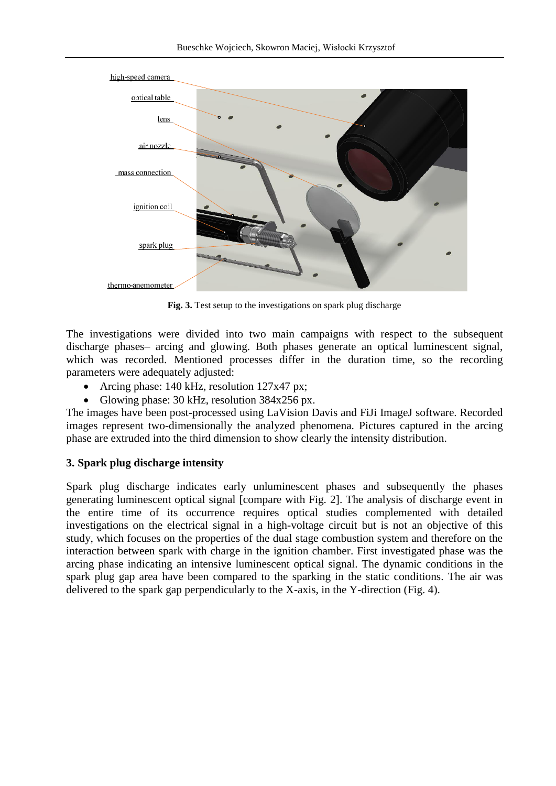

**Fig. 3.** Test setup to the investigations on spark plug discharge

The investigations were divided into two main campaigns with respect to the subsequent discharge phases– arcing and glowing. Both phases generate an optical luminescent signal, which was recorded. Mentioned processes differ in the duration time, so the recording parameters were adequately adjusted:

- Arcing phase: 140 kHz, resolution 127x47 px;
- Glowing phase:  $30 \text{ kHz}$ , resolution  $384 \times 256 \text{ px}$ .

The images have been post-processed using LaVision Davis and FiJi ImageJ software. Recorded images represent two-dimensionally the analyzed phenomena. Pictures captured in the arcing phase are extruded into the third dimension to show clearly the intensity distribution.

## **3. Spark plug discharge intensity**

Spark plug discharge indicates early unluminescent phases and subsequently the phases generating luminescent optical signal [compare with Fig. 2]. The analysis of discharge event in the entire time of its occurrence requires optical studies complemented with detailed investigations on the electrical signal in a high-voltage circuit but is not an objective of this study, which focuses on the properties of the dual stage combustion system and therefore on the interaction between spark with charge in the ignition chamber. First investigated phase was the arcing phase indicating an intensive luminescent optical signal. The dynamic conditions in the spark plug gap area have been compared to the sparking in the static conditions. The air was delivered to the spark gap perpendicularly to the X-axis, in the Y-direction (Fig. 4).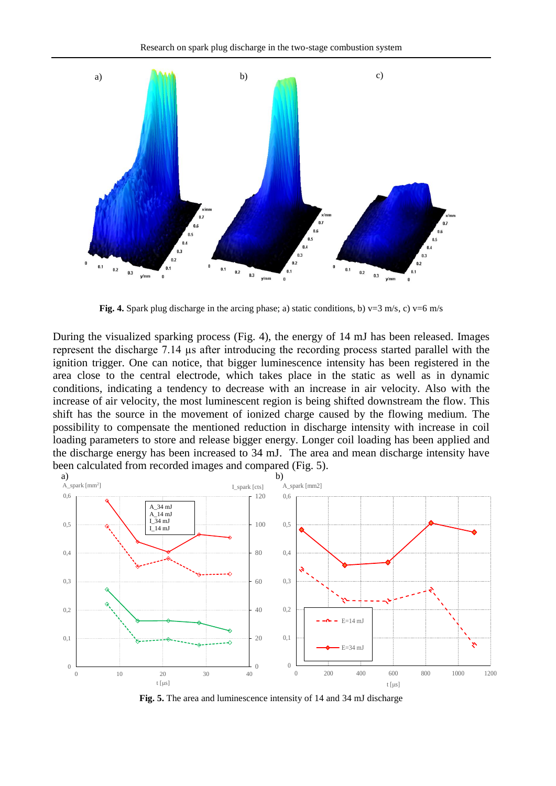

**Fig. 4.** Spark plug discharge in the arcing phase; a) static conditions, b)  $v=3$  m/s, c)  $v=6$  m/s

During the visualized sparking process (Fig. 4), the energy of 14 mJ has been released. Images represent the discharge 7.14 µs after introducing the recording process started parallel with the ignition trigger. One can notice, that bigger luminescence intensity has been registered in the area close to the central electrode, which takes place in the static as well as in dynamic conditions, indicating a tendency to decrease with an increase in air velocity. Also with the increase of air velocity, the most luminescent region is being shifted downstream the flow. This shift has the source in the movement of ionized charge caused by the flowing medium. The possibility to compensate the mentioned reduction in discharge intensity with increase in coil loading parameters to store and release bigger energy. Longer coil loading has been applied and the discharge energy has been increased to 34 mJ. The area and mean discharge intensity have been calculated from recorded images and compared (Fig. 5).



**Fig. 5.** The area and luminescence intensity of 14 and 34 mJ discharge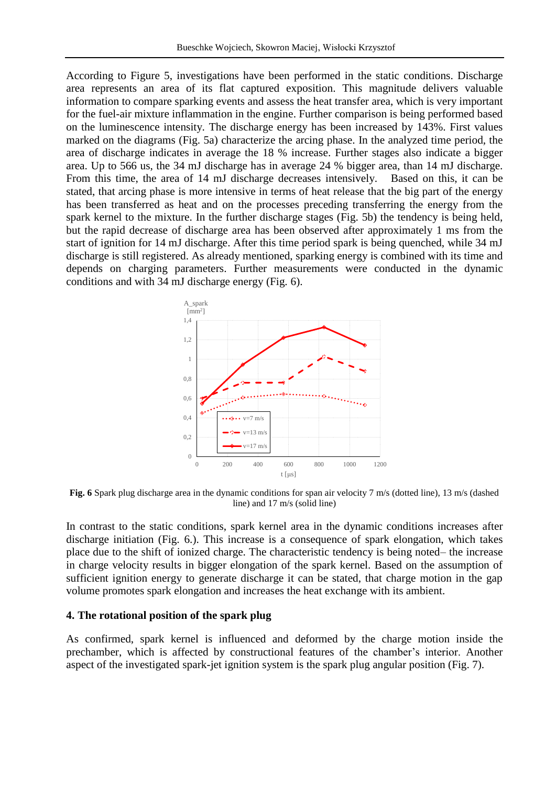According to Figure 5, investigations have been performed in the static conditions. Discharge area represents an area of its flat captured exposition. This magnitude delivers valuable information to compare sparking events and assess the heat transfer area, which is very important for the fuel-air mixture inflammation in the engine. Further comparison is being performed based on the luminescence intensity. The discharge energy has been increased by 143%. First values marked on the diagrams (Fig. 5a) characterize the arcing phase. In the analyzed time period, the area of discharge indicates in average the 18 % increase. Further stages also indicate a bigger area. Up to 566 us, the 34 mJ discharge has in average 24 % bigger area, than 14 mJ discharge. From this time, the area of 14 mJ discharge decreases intensively. Based on this, it can be stated, that arcing phase is more intensive in terms of heat release that the big part of the energy has been transferred as heat and on the processes preceding transferring the energy from the spark kernel to the mixture. In the further discharge stages (Fig. 5b) the tendency is being held, but the rapid decrease of discharge area has been observed after approximately 1 ms from the start of ignition for 14 mJ discharge. After this time period spark is being quenched, while 34 mJ discharge is still registered. As already mentioned, sparking energy is combined with its time and depends on charging parameters. Further measurements were conducted in the dynamic conditions and with 34 mJ discharge energy (Fig. 6).



**Fig. 6** Spark plug discharge area in the dynamic conditions for span air velocity 7 m/s (dotted line), 13 m/s (dashed line) and 17 m/s (solid line)

In contrast to the static conditions, spark kernel area in the dynamic conditions increases after discharge initiation (Fig. 6.). This increase is a consequence of spark elongation, which takes place due to the shift of ionized charge. The characteristic tendency is being noted– the increase in charge velocity results in bigger elongation of the spark kernel. Based on the assumption of sufficient ignition energy to generate discharge it can be stated, that charge motion in the gap volume promotes spark elongation and increases the heat exchange with its ambient.

#### **4. The rotational position of the spark plug**

As confirmed, spark kernel is influenced and deformed by the charge motion inside the prechamber, which is affected by constructional features of the chamber's interior. Another aspect of the investigated spark-jet ignition system is the spark plug angular position (Fig. 7).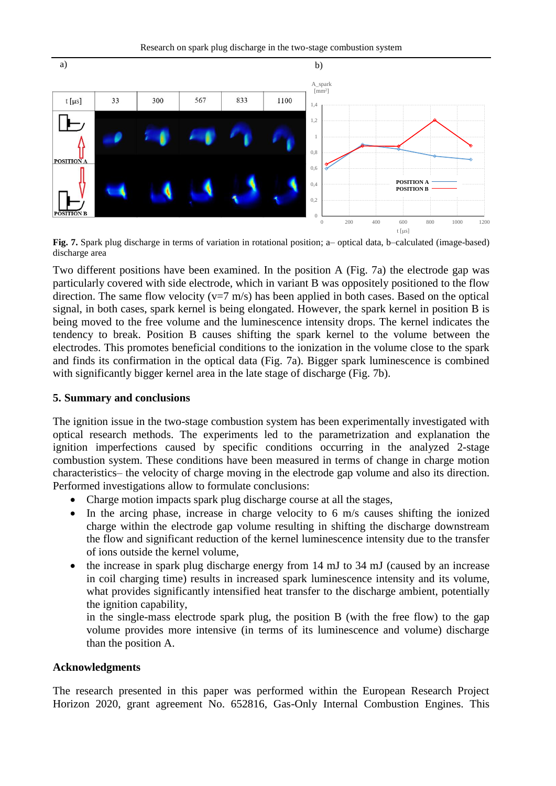Research on spark plug discharge in the two-stage combustion system



**Fig. 7.** Spark plug discharge in terms of variation in rotational position; a– optical data, b–calculated (image-based) discharge area

Two different positions have been examined. In the position A (Fig. 7a) the electrode gap was particularly covered with side electrode, which in variant B was oppositely positioned to the flow direction. The same flow velocity ( $v=7$  m/s) has been applied in both cases. Based on the optical signal, in both cases, spark kernel is being elongated. However, the spark kernel in position B is being moved to the free volume and the luminescence intensity drops. The kernel indicates the tendency to break. Position B causes shifting the spark kernel to the volume between the electrodes. This promotes beneficial conditions to the ionization in the volume close to the spark and finds its confirmation in the optical data (Fig. 7a). Bigger spark luminescence is combined with significantly bigger kernel area in the late stage of discharge (Fig. 7b).

## **5. Summary and conclusions**

The ignition issue in the two-stage combustion system has been experimentally investigated with optical research methods. The experiments led to the parametrization and explanation the ignition imperfections caused by specific conditions occurring in the analyzed 2-stage combustion system. These conditions have been measured in terms of change in charge motion characteristics– the velocity of charge moving in the electrode gap volume and also its direction. Performed investigations allow to formulate conclusions:

- Charge motion impacts spark plug discharge course at all the stages,
- In the arcing phase, increase in charge velocity to 6 m/s causes shifting the ionized charge within the electrode gap volume resulting in shifting the discharge downstream the flow and significant reduction of the kernel luminescence intensity due to the transfer of ions outside the kernel volume,
- the increase in spark plug discharge energy from 14 mJ to 34 mJ (caused by an increase in coil charging time) results in increased spark luminescence intensity and its volume, what provides significantly intensified heat transfer to the discharge ambient, potentially the ignition capability,

in the single-mass electrode spark plug, the position B (with the free flow) to the gap volume provides more intensive (in terms of its luminescence and volume) discharge than the position A.

## **Acknowledgments**

The research presented in this paper was performed within the European Research Project Horizon 2020, grant agreement No. 652816, Gas-Only Internal Combustion Engines. This